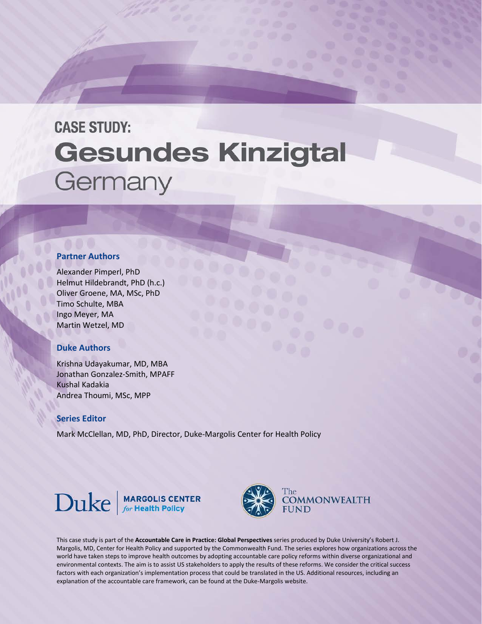# **CASE STUDY: Gesundes Kinzigtal** Germany

#### **Partner Authors**

Alexander Pimperl, PhD Helmut Hildebrandt, PhD (h.c.) Oliver Groene, MA, MSc, PhD Timo Schulte, MBA Ingo Meyer, MA Martin Wetzel, MD

# **Duke Authors**

Krishna Udayakumar, MD, MBA Jonathan Gonzalez-Smith, MPAFF Kushal Kadakia Andrea Thoumi, MSc, MPP

## **Series Editor**

Mark McClellan, MD, PhD, Director, Duke-Margolis Center for Health Policy







This case study is part of the **Accountable Care in Practice: Global Perspectives** series produced by Duke University's Robert J. Margolis, MD, Center for Health Policy and supported by the Commonwealth Fund. The series explores how organizations across the world have taken steps to improve health outcomes by adopting accountable care policy reforms within diverse organizational and environmental contexts. The aim is to assist US stakeholders to apply the results of these reforms. We consider the critical success factors with each organization's implementation process that could be translated in the US. Additional resources, including an explanation of the accountable care framework, can be found at the Duke-Margolis website.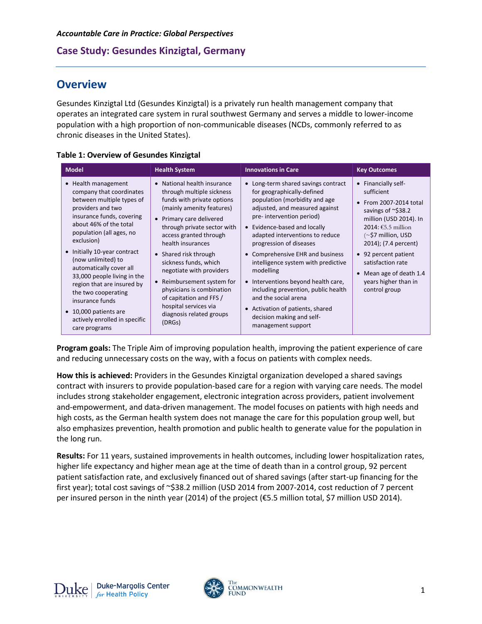# **Overview**

Gesundes Kinzigtal Ltd (Gesundes Kinzigtal) is a privately run health management company that operates an integrated care system in rural southwest Germany and serves a middle to lower-income population with a high proportion of non-communicable diseases (NCDs, commonly referred to as chronic diseases in the United States).

|  |  | <b>Table 1: Overview of Gesundes Kinzigtal</b> |  |
|--|--|------------------------------------------------|--|
|--|--|------------------------------------------------|--|

| <b>Model</b>                                                                                                                                                                                                                                                                                                                                                                                                                                                          | <b>Health System</b>                                                                                                                                                                                                                                                                                                                                                                                                                                           | <b>Innovations in Care</b>                                                                                                                                                                                                                                                                                                                                                                                                                                                                                                                                                 | <b>Key Outcomes</b>                                                                                                                                                                                                                                                                                |
|-----------------------------------------------------------------------------------------------------------------------------------------------------------------------------------------------------------------------------------------------------------------------------------------------------------------------------------------------------------------------------------------------------------------------------------------------------------------------|----------------------------------------------------------------------------------------------------------------------------------------------------------------------------------------------------------------------------------------------------------------------------------------------------------------------------------------------------------------------------------------------------------------------------------------------------------------|----------------------------------------------------------------------------------------------------------------------------------------------------------------------------------------------------------------------------------------------------------------------------------------------------------------------------------------------------------------------------------------------------------------------------------------------------------------------------------------------------------------------------------------------------------------------------|----------------------------------------------------------------------------------------------------------------------------------------------------------------------------------------------------------------------------------------------------------------------------------------------------|
| • Health management<br>company that coordinates<br>between multiple types of<br>providers and two<br>insurance funds, covering<br>about 46% of the total<br>population (all ages, no<br>exclusion)<br>• Initially 10-year contract<br>(now unlimited) to<br>automatically cover all<br>33,000 people living in the<br>region that are insured by<br>the two cooperating<br>insurance funds<br>• 10,000 patients are<br>actively enrolled in specific<br>care programs | National health insurance<br>through multiple sickness<br>funds with private options<br>(mainly amenity features)<br>• Primary care delivered<br>through private sector with<br>access granted through<br>health insurances<br>• Shared risk through<br>sickness funds, which<br>negotiate with providers<br>• Reimbursement system for<br>physicians is combination<br>of capitation and FFS /<br>hospital services via<br>diagnosis related groups<br>(DRGs) | • Long-term shared savings contract<br>for geographically-defined<br>population (morbidity and age<br>adjusted, and measured against<br>pre- intervention period)<br>• Evidence-based and locally<br>adapted interventions to reduce<br>progression of diseases<br>• Comprehensive EHR and business<br>intelligence system with predictive<br>modelling<br>Interventions beyond health care,<br>$\bullet$<br>including prevention, public health<br>and the social arena<br>Activation of patients, shared<br>$\bullet$<br>decision making and self-<br>management support | • Financially self-<br>sufficient<br>From 2007-2014 total<br>savings of ~\$38.2<br>million (USD 2014). In<br>2014: €5.5 million<br>$(\sim$ \$7 million, USD<br>2014); (7.4 percent)<br>• 92 percent patient<br>satisfaction rate<br>Mean age of death 1.4<br>years higher than in<br>control group |

**Program goals:** The Triple Aim of improving population health, improving the patient experience of care and reducing unnecessary costs on the way, with a focus on patients with complex needs.

**How this is achieved:** Providers in the Gesundes Kinzigtal organization developed a shared savings contract with insurers to provide population-based care for a region with varying care needs. The model includes strong stakeholder engagement, electronic integration across providers, patient involvement and-empowerment, and data-driven management. The model focuses on patients with high needs and high costs, as the German health system does not manage the care for this population group well, but also emphasizes prevention, health promotion and public health to generate value for the population in the long run.

**Results:** For 11 years, sustained improvements in health outcomes, including lower hospitalization rates, higher life expectancy and higher mean age at the time of death than in a control group, 92 percent patient satisfaction rate, and exclusively financed out of shared savings (after start-up financing for the first year); total cost savings of ~\$38.2 million (USD 2014 from 2007-2014, cost reduction of 7 percent per insured person in the ninth year (2014) of the project (€5.5 million total, \$7 million USD 2014).

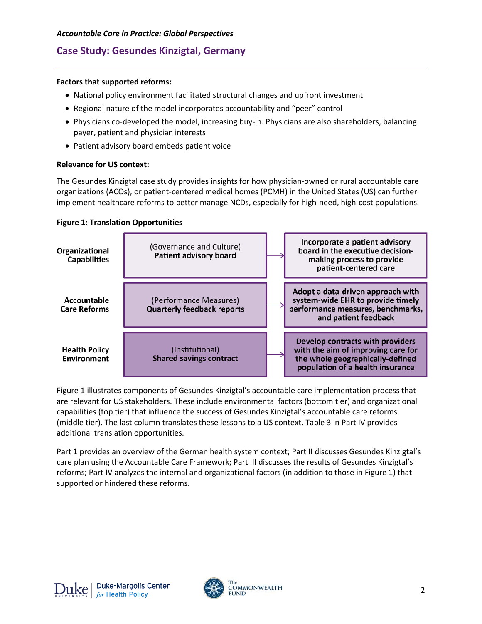## **Factors that supported reforms:**

- National policy environment facilitated structural changes and upfront investment
- Regional nature of the model incorporates accountability and "peer" control
- Physicians co-developed the model, increasing buy-in. Physicians are also shareholders, balancing payer, patient and physician interests
- Patient advisory board embeds patient voice

## **Relevance for US context:**

The Gesundes Kinzigtal case study provides insights for how physician-owned or rural accountable care organizations (ACOs), or patient-centered medical homes (PCMH) in the United States (US) can further implement healthcare reforms to better manage NCDs, especially for high-need, high-cost populations.





Figure 1 illustrates components of Gesundes Kinzigtal's accountable care implementation process that are relevant for US stakeholders. These include environmental factors (bottom tier) and organizational capabilities (top tier) that influence the success of Gesundes Kinzigtal's accountable care reforms (middle tier). The last column translates these lessons to a US context. Table 3 in Part IV provides additional translation opportunities.

Part 1 provides an overview of the German health system context; Part II discusses Gesundes Kinzigtal's care plan using the Accountable Care Framework; Part III discusses the results of Gesundes Kinzigtal's reforms; Part IV analyzes the internal and organizational factors (in addition to those in Figure 1) that supported or hindered these reforms.

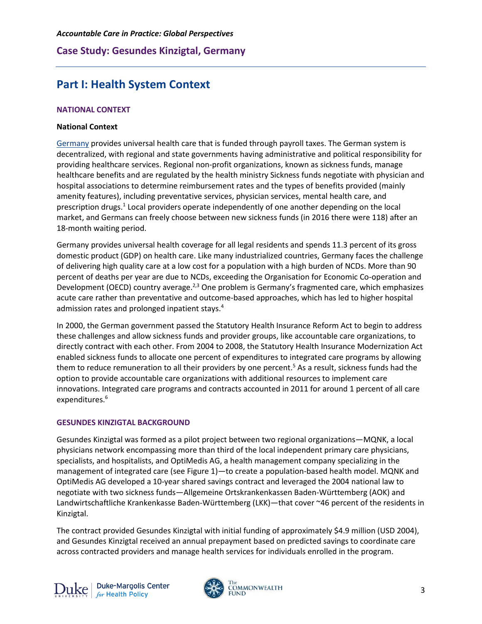# **Part I: Health System Context**

## **NATIONAL CONTEXT**

#### **National Context**

[Germany](http://international.commonwealthfund.org/countries/germany/) provides universal health care that is funded through payroll taxes. The German system is decentralized, with regional and state governments having administrative and political responsibility for providing healthcare services. Regional non-profit organizations, known as sickness funds, manage healthcare benefits and are regulated by the health ministry Sickness funds negotiate with physician and hospital associations to determine reimbursement rates and the types of benefits provided (mainly amenity features), including preventative services, physician services, mental health care, and prescription drugs.<sup>1</sup> Local providers operate independently of one another depending on the local market, and Germans can freely choose between new sickness funds (in 2016 there were 118) after an 18-month waiting period.

Germany provides universal health coverage for all legal residents and spends 11.3 percent of its gross domestic product (GDP) on health care. Like many industrialized countries, Germany faces the challenge of delivering high quality care at a low cost for a population with a high burden of NCDs. More than 90 percent of deaths per year are due to NCDs, exceeding the Organisation for Economic Co-operation and Development (OECD) country average.<sup>2,3</sup> One problem is Germany's fragmented care, which emphasizes acute care rather than preventative and outcome-based approaches, which has led to higher hospital admission rates and prolonged inpatient stays.<sup>4</sup>

In 2000, the German government passed the Statutory Health Insurance Reform Act to begin to address these challenges and allow sickness funds and provider groups, like accountable care organizations, to directly contract with each other. From 2004 to 2008, the Statutory Health Insurance Modernization Act enabled sickness funds to allocate one percent of expenditures to integrated care programs by allowing them to reduce remuneration to all their providers by one percent.<sup>5</sup> As a result, sickness funds had the option to provide accountable care organizations with additional resources to implement care innovations. Integrated care programs and contracts accounted in 2011 for around 1 percent of all care expenditures.<sup>6</sup>

#### **GESUNDES KINZIGTAL BACKGROUND**

Gesundes Kinzigtal was formed as a pilot project between two regional organizations—MQNK, a local physicians network encompassing more than third of the local independent primary care physicians, specialists, and hospitalists, and OptiMedis AG, a health management company specializing in the management of integrated care (see Figure 1)—to create a population-based health model. MQNK and OptiMedis AG developed a 10-year shared savings contract and leveraged the 2004 national law to negotiate with two sickness funds—Allgemeine Ortskrankenkassen Baden-Württemberg (AOK) and Landwirtschaftliche Krankenkasse Baden-Württemberg (LKK)—that cover ~46 percent of the residents in Kinzigtal.

The contract provided Gesundes Kinzigtal with initial funding of approximately \$4.9 million (USD 2004), and Gesundes Kinzigtal received an annual prepayment based on predicted savings to coordinate care across contracted providers and manage health services for individuals enrolled in the program.

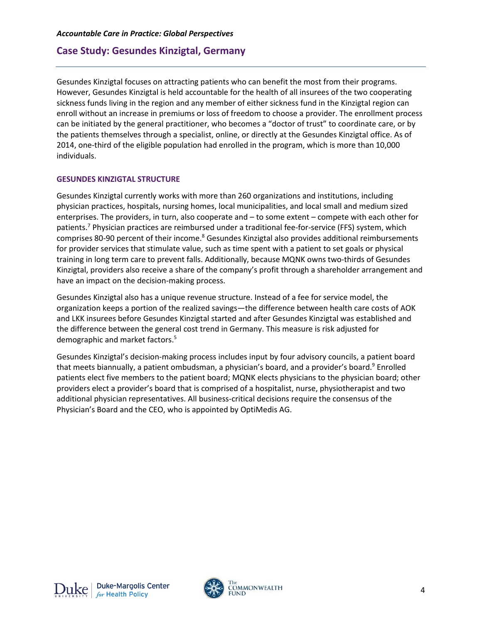Gesundes Kinzigtal focuses on attracting patients who can benefit the most from their programs. However, Gesundes Kinzigtal is held accountable for the health of all insurees of the two cooperating sickness funds living in the region and any member of either sickness fund in the Kinzigtal region can enroll without an increase in premiums or loss of freedom to choose a provider. The enrollment process can be initiated by the general practitioner, who becomes a "doctor of trust" to coordinate care, or by the patients themselves through a specialist, online, or directly at the Gesundes Kinzigtal office. As of 2014, one-third of the eligible population had enrolled in the program, which is more than 10,000 individuals.

#### **GESUNDES KINZIGTAL STRUCTURE**

Gesundes Kinzigtal currently works with more than 260 organizations and institutions, including physician practices, hospitals, nursing homes, local municipalities, and local small and medium sized enterprises. The providers, in turn, also cooperate and – to some extent – compete with each other for patients.7 Physician practices are reimbursed under a traditional fee-for-service (FFS) system, which comprises 80-90 percent of their income.<sup>8</sup> Gesundes Kinzigtal also provides additional reimbursements for provider services that stimulate value, such as time spent with a patient to set goals or physical training in long term care to prevent falls. Additionally, because MQNK owns two-thirds of Gesundes Kinzigtal, providers also receive a share of the company's profit through a shareholder arrangement and have an impact on the decision-making process.

Gesundes Kinzigtal also has a unique revenue structure. Instead of a fee for service model, the organization keeps a portion of the realized savings—the difference between health care costs of AOK and LKK insurees before Gesundes Kinzigtal started and after Gesundes Kinzigtal was established and the difference between the general cost trend in Germany. This measure is risk adjusted for demographic and market factors.5

Gesundes Kinzigtal's decision-making process includes input by four advisory councils, a patient board that meets biannually, a patient ombudsman, a physician's board, and a provider's board.<sup>9</sup> Enrolled patients elect five members to the patient board; MQNK elects physicians to the physician board; other providers elect a provider's board that is comprised of a hospitalist, nurse, physiotherapist and two additional physician representatives. All business-critical decisions require the consensus of the Physician's Board and the CEO, who is appointed by OptiMedis AG.

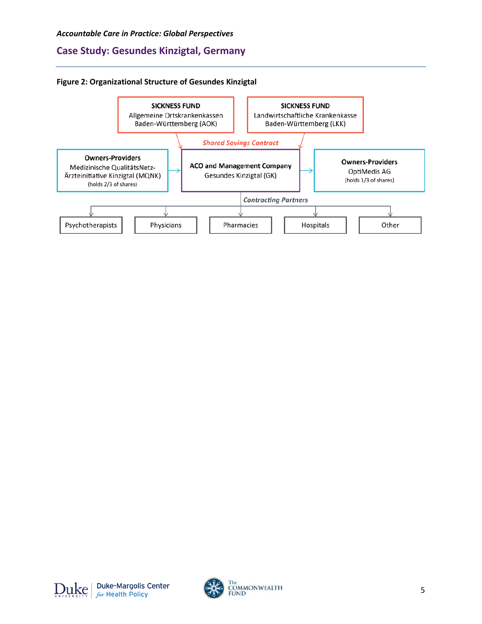#### **Figure 2: Organizational Structure of Gesundes Kinzigtal**



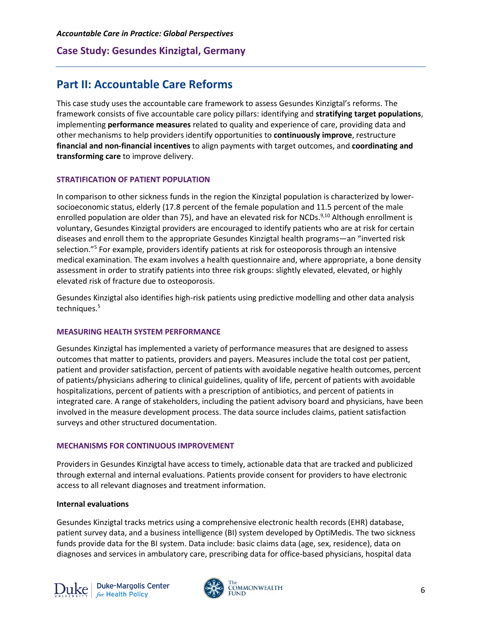# **Part II: Accountable Care Reforms**

This case study uses the accountable care framework to assess Gesundes Kinzigtal's reforms. The framework consists of five accountable care policy pillars: identifying and **stratifying target populations**, implementing **performance measures** related to quality and experience of care, providing data and other mechanisms to help providers identify opportunities to **continuously improve**, restructure **financial and non-financial incentives** to align payments with target outcomes, and **coordinating and transforming care** to improve delivery.

#### **STRATIFICATION OF PATIENT POPULATION**

In comparison to other sickness funds in the region the Kinzigtal population is characterized by lowersocioeconomic status, elderly (17.8 percent of the female population and 11.5 percent of the male enrolled population are older than 75), and have an elevated risk for NCDs.<sup>9,10</sup> Although enrollment is voluntary, Gesundes Kinzigtal providers are encouraged to identify patients who are at risk for certain diseases and enroll them to the appropriate Gesundes Kinzigtal health programs—an "inverted risk selection."5 For example, providers identify patients at risk for osteoporosis through an intensive medical examination. The exam involves a health questionnaire and, where appropriate, a bone density assessment in order to stratify patients into three risk groups: slightly elevated, elevated, or highly elevated risk of fracture due to osteoporosis.

Gesundes Kinzigtal also identifies high-risk patients using predictive modelling and other data analysis techniques.<sup>5</sup>

#### **MEASURING HEALTH SYSTEM PERFORMANCE**

Gesundes Kinzigtal has implemented a variety of performance measures that are designed to assess outcomes that matter to patients, providers and payers. Measures include the total cost per patient, patient and provider satisfaction, percent of patients with avoidable negative health outcomes, percent of patients/physicians adhering to clinical guidelines, quality of life, percent of patients with avoidable hospitalizations, percent of patients with a prescription of antibiotics, and percent of patients in integrated care. A range of stakeholders, including the patient advisory board and physicians, have been involved in the measure development process. The data source includes claims, patient satisfaction surveys and other structured documentation.

#### **MECHANISMS FOR CONTINUOUS IMPROVEMENT**

Providers in Gesundes Kinzigtal have access to timely, actionable data that are tracked and publicized through external and internal evaluations. Patients provide consent for providers to have electronic access to all relevant diagnoses and treatment information.

#### **Internal evaluations**

Gesundes Kinzigtal tracks metrics using a comprehensive electronic health records (EHR) database, patient survey data, and a business intelligence (BI) system developed by OptiMedis. The two sickness funds provide data for the BI system. Data include: basic claims data (age, sex, residence), data on diagnoses and services in ambulatory care, prescribing data for office-based physicians, hospital data

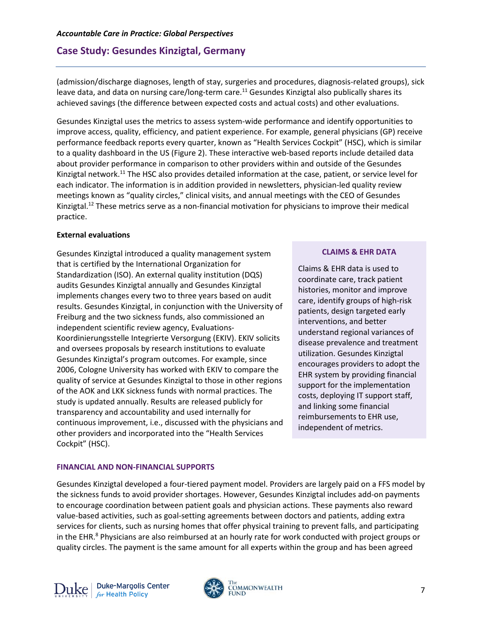(admission/discharge diagnoses, length of stay, surgeries and procedures, diagnosis-related groups), sick leave data, and data on nursing care/long-term care.<sup>11</sup> Gesundes Kinzigtal also publically shares its achieved savings (the difference between expected costs and actual costs) and other evaluations.

Gesundes Kinzigtal uses the metrics to assess system-wide performance and identify opportunities to improve access, quality, efficiency, and patient experience. For example, general physicians (GP) receive performance feedback reports every quarter, known as "Health Services Cockpit" (HSC), which is similar to a quality dashboard in the US (Figure 2). These interactive web-based reports include detailed data about provider performance in comparison to other providers within and outside of the Gesundes Kinzigtal network.<sup>11</sup> The HSC also provides detailed information at the case, patient, or service level for each indicator. The information is in addition provided in newsletters, physician-led quality review meetings known as "quality circles," clinical visits, and annual meetings with the CEO of Gesundes Kinzigtal.<sup>12</sup> These metrics serve as a non-financial motivation for physicians to improve their medical practice.

## **External evaluations**

Gesundes Kinzigtal introduced a quality management system that is certified by the International Organization for Standardization (ISO). An external quality institution (DQS) audits Gesundes Kinzigtal annually and Gesundes Kinzigtal implements changes every two to three years based on audit results. Gesundes Kinzigtal, in conjunction with the University of Freiburg and the two sickness funds, also commissioned an independent scientific review agency, Evaluations-Koordinierungsstelle Integrierte Versorgung (EKIV). EKIV solicits and oversees proposals by research institutions to evaluate Gesundes Kinzigtal's program outcomes. For example, since 2006, Cologne University has worked with EKIV to compare the quality of service at Gesundes Kinzigtal to those in other regions of the AOK and LKK sickness funds with normal practices. The study is updated annually. Results are released publicly for transparency and accountability and used internally for continuous improvement, i.e., discussed with the physicians and other providers and incorporated into the "Health Services Cockpit" (HSC).

# **CLAIMS & EHR DATA**

Claims & EHR data is used to coordinate care, track patient histories, monitor and improve care, identify groups of high-risk patients, design targeted early interventions, and better understand regional variances of disease prevalence and treatment utilization. Gesundes Kinzigtal encourages providers to adopt the EHR system by providing financial support for the implementation costs, deploying IT support staff, and linking some financial reimbursements to EHR use, independent of metrics.

## **FINANCIAL AND NON-FINANCIAL SUPPORTS**

Gesundes Kinzigtal developed a four-tiered payment model. Providers are largely paid on a FFS model by the sickness funds to avoid provider shortages. However, Gesundes Kinzigtal includes add-on payments to encourage coordination between patient goals and physician actions. These payments also reward value-based activities, such as goal-setting agreements between doctors and patients, adding extra services for clients, such as nursing homes that offer physical training to prevent falls, and participating in the EHR.<sup>8</sup> Physicians are also reimbursed at an hourly rate for work conducted with project groups or quality circles. The payment is the same amount for all experts within the group and has been agreed

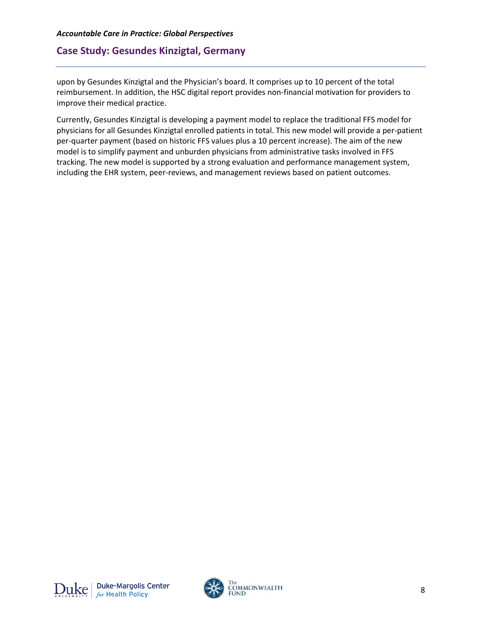upon by Gesundes Kinzigtal and the Physician's board. It comprises up to 10 percent of the total reimbursement. In addition, the HSC digital report provides non-financial motivation for providers to improve their medical practice.

Currently, Gesundes Kinzigtal is developing a payment model to replace the traditional FFS model for physicians for all Gesundes Kinzigtal enrolled patients in total. This new model will provide a per-patient per-quarter payment (based on historic FFS values plus a 10 percent increase). The aim of the new model is to simplify payment and unburden physicians from administrative tasks involved in FFS tracking. The new model is supported by a strong evaluation and performance management system, including the EHR system, peer-reviews, and management reviews based on patient outcomes.

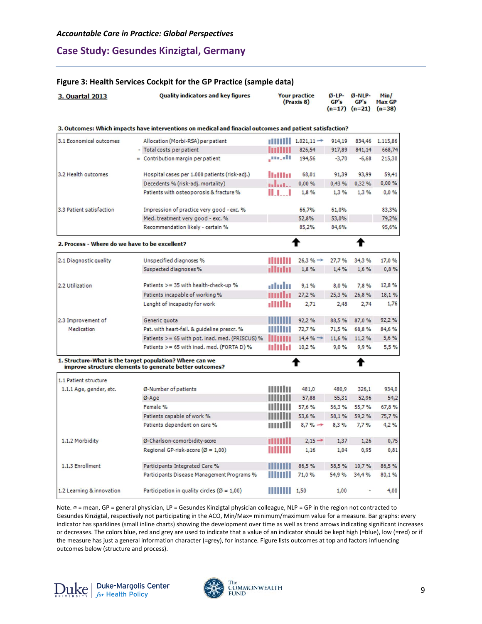## **Figure 3: Health Services Cockpit for the GP Practice (sample data)**

| 3. Quartal 2013                                                                                          | <b>Quality indicators and key figures</b>                                                                           | <b>Your practice</b><br>(Praxis 8) |                        | $Q$ -LP-<br>GP's | $Ø-NLP-$<br>GP's<br>$(n=17)$ $(n=21)$ | Min/<br><b>Max GP</b><br>$(n=38)$ |
|----------------------------------------------------------------------------------------------------------|---------------------------------------------------------------------------------------------------------------------|------------------------------------|------------------------|------------------|---------------------------------------|-----------------------------------|
| 3. Outcomes: Which impacts have interventions on medical and finacial outcomes and patient satisfaction? |                                                                                                                     |                                    |                        |                  |                                       |                                   |
| 3.1 Economical outcomes                                                                                  | Allocation (Morbi-RSA) per patient                                                                                  |                                    | $1.021,11 \rightarrow$ | 914,19           | 834,46                                | 1.115,86                          |
|                                                                                                          | - Total costs per patient                                                                                           |                                    | 826,54                 | 917,89           | 841,14                                | 668,74                            |
|                                                                                                          | = Contribution margin per patient                                                                                   | ,m.dr                              | 194,56                 | $-3,70$          | $-6,68$                               | 215,30                            |
| 3.2 Health outcomes                                                                                      | Hospital cases per 1.000 patients (risk-adj.)                                                                       | <b>Uallist</b>                     | 68,01                  | 91,39            | 93.99                                 | 59,41                             |
|                                                                                                          | Decedents % (risk-adj. mortality)                                                                                   | المساس                             | 0,00%                  | 0,43%            | 0,32%                                 | 0,00%                             |
|                                                                                                          | Patients with osteoporosis & fracture %                                                                             | 11 I                               | 1,8%                   | 1,3%             | 1,3%                                  | 0,0%                              |
| 3.3 Patient satisfaction                                                                                 | Impression of practice very good - exc. %                                                                           |                                    | 66,7%                  | 61,0%            |                                       | 83,3%                             |
|                                                                                                          | Med. treatment very good - exc. %                                                                                   |                                    | 52,8%                  | 53,0%            |                                       | 79,2%                             |
|                                                                                                          | Recommendation likely - certain %                                                                                   |                                    | 85,2%                  | 84,6%            |                                       | 95,6%                             |
| 2. Process - Where do we have to be excellent?                                                           |                                                                                                                     |                                    |                        |                  |                                       |                                   |
| 2.1 Diagnostic quality                                                                                   | Unspecified diagnoses %                                                                                             |                                    | $26,3%$ $\rightarrow$  | 27,7%            | 34,3%                                 | 17,0 %                            |
|                                                                                                          | Suspected diagnoses%                                                                                                | ullinini                           | 1,8%                   | 1,4%             | 1,6%                                  | 0,8%                              |
| 2.2 Utilization                                                                                          | Patients >= 35 with health-check-up %                                                                               | alulu                              | 9.1%                   | 8,0%             | 7,8%                                  | 12,8 %                            |
|                                                                                                          | Patients incapable of working %                                                                                     |                                    | 27,2%                  | 25.3%            | 26,8%                                 | 18,1%                             |
|                                                                                                          | Lenght of incapacity for work                                                                                       |                                    | 2,71                   | 2,48             | 2,74                                  | 1,76                              |
| 2.3 Improvement of                                                                                       | Generic quota                                                                                                       |                                    | 92,2%                  | 88,5%            | 87,0%                                 | 92,2%                             |
| Medication                                                                                               | Pat. with heart-fail. & guideline prescr. %                                                                         |                                    | 72.7%                  | 71,5%            | 68,8%                                 | 84,6 %                            |
|                                                                                                          | Patients >= 65 with pot. inad. med. (PRISCUS) %                                                                     |                                    | $14,4%$ $\rightarrow$  | 11,6%            | 11,2%                                 | 5,6%                              |
|                                                                                                          | Patients $>= 65$ with inad. med. (FORTA D) %                                                                        | <b>MULL</b>                        | 10,2%                  | 9,0%             | 9,9%                                  | 5,5%                              |
|                                                                                                          | 1. Structure-What is the target population? Where can we<br>improve structure elements to generate better outcomes? |                                    |                        |                  | Ŧ                                     |                                   |
| 1.1 Patient structure                                                                                    |                                                                                                                     |                                    |                        |                  |                                       |                                   |
| 1.1.1 Age, gender, etc.                                                                                  | Ø-Number of patients                                                                                                |                                    | 481,0                  | 480,9            | 326,1                                 | 934,0                             |
|                                                                                                          | Ø-Age                                                                                                               |                                    | 57,88                  | 55,31            | 52,96                                 | 54,2                              |
|                                                                                                          | Female %                                                                                                            |                                    | 57,6 %                 | 56,3%            | 55,7%                                 | 67,8%                             |
|                                                                                                          | Patients capable of work %                                                                                          |                                    | 53.6%                  | 58.1%            | 59,2%                                 | 75,7%                             |
|                                                                                                          | Patients dependent on care %                                                                                        |                                    | $8,7\% \rightarrow$    | 8,3%             | 7,7%                                  | 4,2%                              |
| 1.1.2 Morbidity                                                                                          | Ø-Charlson-comorbidity-score                                                                                        |                                    | $2.15 -$               | 1,37             | 1,26                                  | 0,75                              |
|                                                                                                          | Regional GP-risk-score ( $\varnothing$ = 1,00)                                                                      |                                    | 1,16                   | 1,04             | 0,95                                  | 0,81                              |
| 1.1.3 Enrollment                                                                                         | Participants Integrated Care %                                                                                      |                                    | 86,5%                  | 58,5%            | 10.7%                                 | 86,5%                             |
|                                                                                                          | Participants Disease Management Programs %                                                                          |                                    | 71,0 %                 | 54,9%            | 34,4%                                 | 80,1%                             |
| 1.2 Learning & innovation                                                                                | Participation in quality circles ( $\varnothing$ = 1,00)                                                            |                                    | 1,50                   | 1,00             |                                       | 4,00                              |

Note. ∅ = mean, GP = general physician, LP = Gesundes Kinzigtal physician colleague, NLP = GP in the region not contracted to Gesundes Kinzigtal, respectively not participating in the ACO, Min/Max= minimum/maximum value for a measure. Bar graphs: every indicator has sparklines (small inline charts) showing the development over time as well as trend arrows indicating significant increases or decreases. The colors blue, red and grey are used to indicate that a value of an indicator should be kept high (=blue), low (=red) or if the measure has just a general information character (=grey), for instance. Figure lists outcomes at top and factors influencing outcomes below (structure and process).



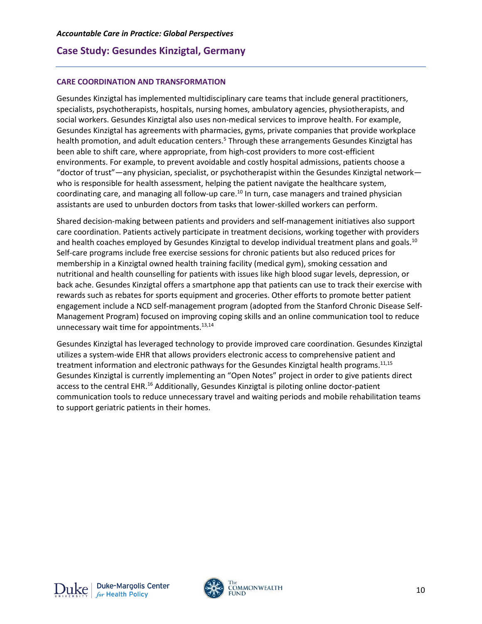#### **CARE COORDINATION AND TRANSFORMATION**

Gesundes Kinzigtal has implemented multidisciplinary care teams that include general practitioners, specialists, psychotherapists, hospitals, nursing homes, ambulatory agencies, physiotherapists, and social workers. Gesundes Kinzigtal also uses non-medical services to improve health. For example, Gesundes Kinzigtal has agreements with pharmacies, gyms, private companies that provide workplace health promotion, and adult education centers.<sup>5</sup> Through these arrangements Gesundes Kinzigtal has been able to shift care, where appropriate, from high-cost providers to more cost-efficient environments. For example, to prevent avoidable and costly hospital admissions, patients choose a "doctor of trust"—any physician, specialist, or psychotherapist within the Gesundes Kinzigtal network who is responsible for health assessment, helping the patient navigate the healthcare system, coordinating care, and managing all follow-up care.<sup>10</sup> In turn, case managers and trained physician assistants are used to unburden doctors from tasks that lower-skilled workers can perform.

Shared decision-making between patients and providers and self-management initiatives also support care coordination. Patients actively participate in treatment decisions, working together with providers and health coaches employed by Gesundes Kinzigtal to develop individual treatment plans and goals.<sup>10</sup> Self-care programs include free exercise sessions for chronic patients but also reduced prices for membership in a Kinzigtal owned health training facility (medical gym), smoking cessation and nutritional and health counselling for patients with issues like high blood sugar levels, depression, or back ache. Gesundes Kinzigtal offers a smartphone app that patients can use to track their exercise with rewards such as rebates for sports equipment and groceries. Other efforts to promote better patient engagement include a NCD self-management program (adopted from the Stanford Chronic Disease Self-Management Program) focused on improving coping skills and an online communication tool to reduce unnecessary wait time for appointments. $13,14$ 

Gesundes Kinzigtal has leveraged technology to provide improved care coordination. Gesundes Kinzigtal utilizes a system-wide EHR that allows providers electronic access to comprehensive patient and treatment information and electronic pathways for the Gesundes Kinzigtal health programs.<sup>11,15</sup> Gesundes Kinzigtal is currently implementing an "Open Notes" project in order to give patients direct access to the central EHR.<sup>16</sup> Additionally, Gesundes Kinzigtal is piloting online doctor-patient communication tools to reduce unnecessary travel and waiting periods and mobile rehabilitation teams to support geriatric patients in their homes.

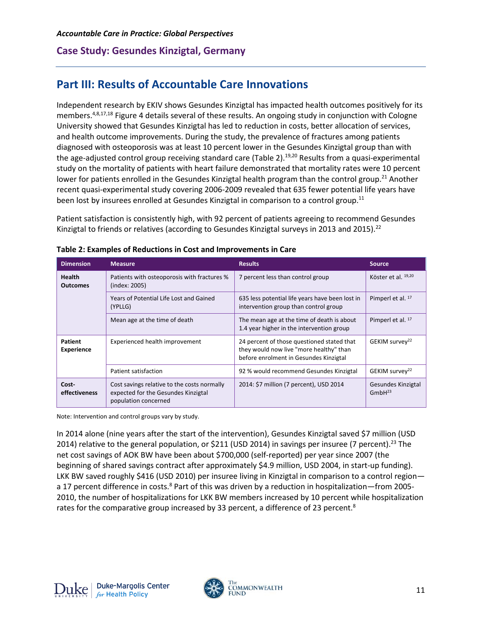# **Part III: Results of Accountable Care Innovations**

Independent research by EKIV shows Gesundes Kinzigtal has impacted health outcomes positively for its members.<sup>4,8,17,18</sup> Figure 4 details several of these results. An ongoing study in conjunction with Cologne University showed that Gesundes Kinzigtal has led to reduction in costs, better allocation of services, and health outcome improvements. During the study, the prevalence of fractures among patients diagnosed with osteoporosis was at least 10 percent lower in the Gesundes Kinzigtal group than with the age-adjusted control group receiving standard care (Table 2).<sup>19,20</sup> Results from a quasi-experimental study on the mortality of patients with heart failure demonstrated that mortality rates were 10 percent lower for patients enrolled in the Gesundes Kinzigtal health program than the control group.<sup>21</sup> Another recent quasi-experimental study covering 2006-2009 revealed that 635 fewer potential life years have been lost by insurees enrolled at Gesundes Kinzigtal in comparison to a control group.<sup>11</sup>

Patient satisfaction is consistently high, with 92 percent of patients agreeing to recommend Gesundes Kinzigtal to friends or relatives (according to Gesundes Kinzigtal surveys in 2013 and 2015).<sup>22</sup>

| <b>Dimension</b>             | <b>Measure</b>                                                                                             | <b>Results</b>                                                                                                                  | <b>Source</b>                            |
|------------------------------|------------------------------------------------------------------------------------------------------------|---------------------------------------------------------------------------------------------------------------------------------|------------------------------------------|
| Health<br><b>Outcomes</b>    | Patients with osteoporosis with fractures %<br>(index: 2005)                                               | 7 percent less than control group                                                                                               | Köster et al. 19,20                      |
|                              | Years of Potential Life Lost and Gained<br>(YPLLG)                                                         | 635 less potential life years have been lost in<br>intervention group than control group                                        | Pimperl et al. 17                        |
|                              | Mean age at the time of death                                                                              | The mean age at the time of death is about<br>1.4 year higher in the intervention group                                         | Pimperl et al. 17                        |
| Patient<br><b>Experience</b> | Experienced health improvement                                                                             | 24 percent of those questioned stated that<br>they would now live "more healthy" than<br>before enrolment in Gesundes Kinzigtal | GEKIM survey <sup>22</sup>               |
|                              | Patient satisfaction                                                                                       | 92 % would recommend Gesundes Kinzigtal                                                                                         | GEKIM survey <sup>22</sup>               |
| Cost-<br>effectiveness       | Cost savings relative to the costs normally<br>expected for the Gesundes Kinzigtal<br>population concerned | 2014: \$7 million (7 percent), USD 2014                                                                                         | Gesundes Kinzigtal<br>GmbH <sup>23</sup> |

#### **Table 2: Examples of Reductions in Cost and Improvements in Care**

Note: Intervention and control groups vary by study.

In 2014 alone (nine years after the start of the intervention), Gesundes Kinzigtal saved \$7 million (USD 2014) relative to the general population, or \$211 (USD 2014) in savings per insuree (7 percent).<sup>23</sup> The net cost savings of AOK BW have been about \$700,000 (self-reported) per year since 2007 (the beginning of shared savings contract after approximately \$4.9 million, USD 2004, in start-up funding). LKK BW saved roughly \$416 (USD 2010) per insuree living in Kinzigtal in comparison to a control regiona 17 percent difference in costs.<sup>8</sup> Part of this was driven by a reduction in hospitalization—from 2005-2010, the number of hospitalizations for LKK BW members increased by 10 percent while hospitalization rates for the comparative group increased by 33 percent, a difference of 23 percent.<sup>8</sup>

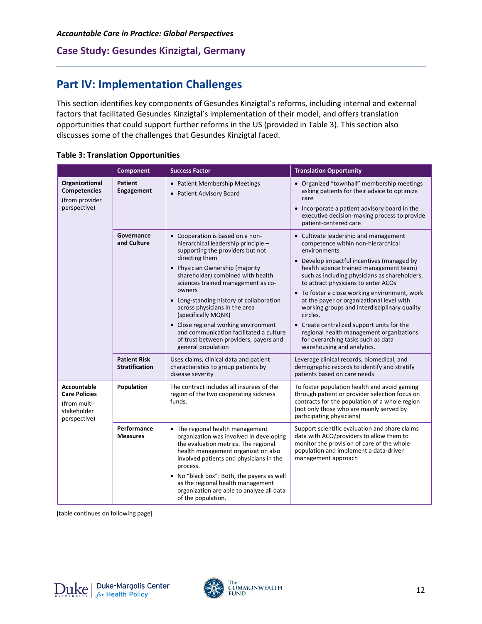# **Part IV: Implementation Challenges**

This section identifies key components of Gesundes Kinzigtal's reforms, including internal and external factors that facilitated Gesundes Kinzigtal's implementation of their model, and offers translation opportunities that could support further reforms in the US (provided in Table 3). This section also discusses some of the challenges that Gesundes Kinzigtal faced.

|                                                                                    | <b>Component</b>                             | <b>Success Factor</b>                                                                                                                                                                                                                                                                                                                                                                                                                                                                                        | <b>Translation Opportunity</b>                                                                                                                                                                                                                                                                                                                                                                                                                                                                                                                                                                       |
|------------------------------------------------------------------------------------|----------------------------------------------|--------------------------------------------------------------------------------------------------------------------------------------------------------------------------------------------------------------------------------------------------------------------------------------------------------------------------------------------------------------------------------------------------------------------------------------------------------------------------------------------------------------|------------------------------------------------------------------------------------------------------------------------------------------------------------------------------------------------------------------------------------------------------------------------------------------------------------------------------------------------------------------------------------------------------------------------------------------------------------------------------------------------------------------------------------------------------------------------------------------------------|
| Organizational<br>Competencies<br>(from provider<br>perspective)                   | <b>Patient</b><br>Engagement                 | • Patient Membership Meetings<br>• Patient Advisory Board                                                                                                                                                                                                                                                                                                                                                                                                                                                    | • Organized "townhall" membership meetings<br>asking patients for their advice to optimize<br>care<br>Incorporate a patient advisory board in the<br>$\bullet$<br>executive decision-making process to provide<br>patient-centered care                                                                                                                                                                                                                                                                                                                                                              |
|                                                                                    | Governance<br>and Culture                    | • Cooperation is based on a non-<br>hierarchical leadership principle -<br>supporting the providers but not<br>directing them<br>• Physician Ownership (majority<br>shareholder) combined with health<br>sciences trained management as co-<br>owners<br>• Long-standing history of collaboration<br>across physicians in the area<br>(specifically MQNK)<br>• Close regional working environment<br>and communication facilitated a culture<br>of trust between providers, payers and<br>general population | • Cultivate leadership and management<br>competence within non-hierarchical<br>environments<br>• Develop impactful incentives (managed by<br>health science trained management team)<br>such as including physicians as shareholders,<br>to attract physicians to enter ACOs<br>• To foster a close working environment, work<br>at the payer or organizational level with<br>working groups and interdisciplinary quality<br>circles.<br>• Create centralized support units for the<br>regional health management organizations<br>for overarching tasks such as data<br>warehousing and analytics. |
|                                                                                    | <b>Patient Risk</b><br><b>Stratification</b> | Uses claims, clinical data and patient<br>characteristics to group patients by<br>disease severity                                                                                                                                                                                                                                                                                                                                                                                                           | Leverage clinical records, biomedical, and<br>demographic records to identify and stratify<br>patients based on care needs                                                                                                                                                                                                                                                                                                                                                                                                                                                                           |
| Accountable<br><b>Care Policies</b><br>(from multi-<br>stakeholder<br>perspective) | Population                                   | The contract includes all insurees of the<br>region of the two cooperating sickness<br>funds.                                                                                                                                                                                                                                                                                                                                                                                                                | To foster population health and avoid gaming<br>through patient or provider selection focus on<br>contracts for the population of a whole region<br>(not only those who are mainly served by<br>participating physicians)                                                                                                                                                                                                                                                                                                                                                                            |
|                                                                                    | Performance<br><b>Measures</b>               | • The regional health management<br>organization was involved in developing<br>the evaluation metrics. The regional<br>health management organization also<br>involved patients and physicians in the<br>process.<br>• No "black box": Both, the payers as well<br>as the regional health management<br>organization are able to analyze all data<br>of the population.                                                                                                                                      | Support scientific evaluation and share claims<br>data with ACO/providers to allow them to<br>monitor the provision of care of the whole<br>population and implement a data-driven<br>management approach                                                                                                                                                                                                                                                                                                                                                                                            |

## **Table 3: Translation Opportunities**

[table continues on following page]

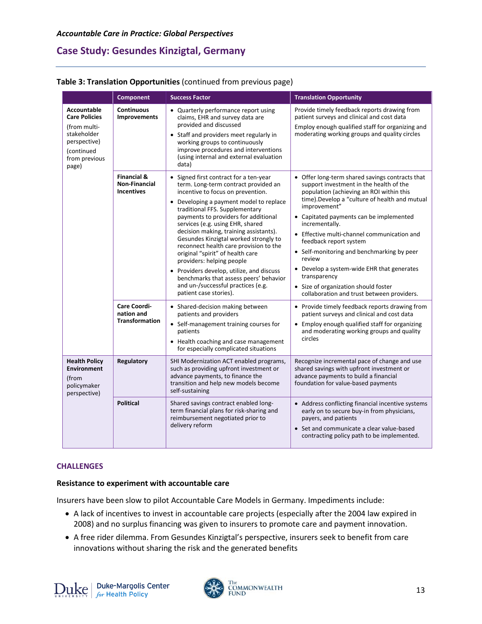#### *Accountable Care in Practice: Global Perspectives*

# **Case Study: Gesundes Kinzigtal, Germany**

#### **Table 3: Translation Opportunities** (continued from previous page)

|                                                                                                                                   | <b>Component</b>                                                                                                                                                                                                                                                                                                                                                                                                                                                                                                                                                                                                                                                       | <b>Success Factor</b>                                                                                                                                                                                                                                                      | <b>Translation Opportunity</b>                                                                                                                                                                                                                                                                                                                                                                                                                                                                                                                                                                                                                             |
|-----------------------------------------------------------------------------------------------------------------------------------|------------------------------------------------------------------------------------------------------------------------------------------------------------------------------------------------------------------------------------------------------------------------------------------------------------------------------------------------------------------------------------------------------------------------------------------------------------------------------------------------------------------------------------------------------------------------------------------------------------------------------------------------------------------------|----------------------------------------------------------------------------------------------------------------------------------------------------------------------------------------------------------------------------------------------------------------------------|------------------------------------------------------------------------------------------------------------------------------------------------------------------------------------------------------------------------------------------------------------------------------------------------------------------------------------------------------------------------------------------------------------------------------------------------------------------------------------------------------------------------------------------------------------------------------------------------------------------------------------------------------------|
| <b>Accountable</b><br><b>Care Policies</b><br>(from multi-<br>stakeholder<br>perspective)<br>(continued<br>from previous<br>page) | <b>Continuous</b><br><b>Improvements</b>                                                                                                                                                                                                                                                                                                                                                                                                                                                                                                                                                                                                                               | • Quarterly performance report using<br>claims, EHR and survey data are<br>provided and discussed<br>• Staff and providers meet regularly in<br>working groups to continuously<br>improve procedures and interventions<br>(using internal and external evaluation<br>data) | Provide timely feedback reports drawing from<br>patient surveys and clinical and cost data<br>Employ enough qualified staff for organizing and<br>moderating working groups and quality circles                                                                                                                                                                                                                                                                                                                                                                                                                                                            |
|                                                                                                                                   | <b>Financial &amp;</b><br>• Signed first contract for a ten-year<br><b>Non-Financial</b><br>incentive to focus on prevention.<br><b>Incentives</b><br>traditional FFS. Supplementary<br>payments to providers for additional<br>services (e.g. using EHR, shared<br>decision making, training assistants).<br>original "spirit" of health care<br>providers: helping people<br>and un-/successful practices (e.g.<br>patient case stories).<br><b>Care Coordi-</b><br>• Shared-decision making between<br>nation and<br>patients and providers<br><b>Transformation</b><br>• Self-management training courses for<br>patients<br>for especially complicated situations | term. Long-term contract provided an<br>• Developing a payment model to replace<br>Gesundes Kinzigtal worked strongly to<br>reconnect health care provision to the<br>• Providers develop, utilize, and discuss<br>benchmarks that assess peers' behavior                  | • Offer long-term shared savings contracts that<br>support investment in the health of the<br>population (achieving an ROI within this<br>time). Develop a "culture of health and mutual<br>improvement"<br>• Capitated payments can be implemented<br>incrementally.<br>• Effective multi-channel communication and<br>feedback report system<br>• Self-monitoring and benchmarking by peer<br>review<br>• Develop a system-wide EHR that generates<br>transparency<br>• Size of organization should foster<br>collaboration and trust between providers.<br>• Provide timely feedback reports drawing from<br>patient surveys and clinical and cost data |
|                                                                                                                                   |                                                                                                                                                                                                                                                                                                                                                                                                                                                                                                                                                                                                                                                                        | • Health coaching and case management                                                                                                                                                                                                                                      | • Employ enough qualified staff for organizing<br>and moderating working groups and quality<br>circles                                                                                                                                                                                                                                                                                                                                                                                                                                                                                                                                                     |
| <b>Health Policy</b><br><b>Environment</b><br>(from<br>policymaker<br>perspective)                                                | Regulatory                                                                                                                                                                                                                                                                                                                                                                                                                                                                                                                                                                                                                                                             | SHI Modernization ACT enabled programs,<br>such as providing upfront investment or<br>advance payments, to finance the<br>transition and help new models become<br>self-sustaining                                                                                         | Recognize incremental pace of change and use<br>shared savings with upfront investment or<br>advance payments to build a financial<br>foundation for value-based payments                                                                                                                                                                                                                                                                                                                                                                                                                                                                                  |
|                                                                                                                                   | <b>Political</b>                                                                                                                                                                                                                                                                                                                                                                                                                                                                                                                                                                                                                                                       | Shared savings contract enabled long-<br>term financial plans for risk-sharing and<br>reimbursement negotiated prior to<br>delivery reform                                                                                                                                 | • Address conflicting financial incentive systems<br>early on to secure buy-in from physicians,<br>payers, and patients<br>• Set and communicate a clear value-based<br>contracting policy path to be implemented.                                                                                                                                                                                                                                                                                                                                                                                                                                         |

#### **CHALLENGES**

## **Resistance to experiment with accountable care**

Insurers have been slow to pilot Accountable Care Models in Germany. Impediments include:

- A lack of incentives to invest in accountable care projects (especially after the 2004 law expired in 2008) and no surplus financing was given to insurers to promote care and payment innovation.
- A free rider dilemma. From Gesundes Kinzigtal's perspective, insurers seek to benefit from care innovations without sharing the risk and the generated benefits

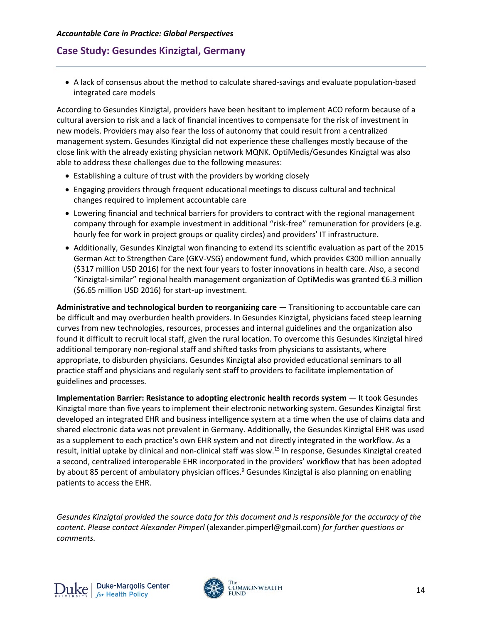• A lack of consensus about the method to calculate shared-savings and evaluate population-based integrated care models

According to Gesundes Kinzigtal, providers have been hesitant to implement ACO reform because of a cultural aversion to risk and a lack of financial incentives to compensate for the risk of investment in new models. Providers may also fear the loss of autonomy that could result from a centralized management system. Gesundes Kinzigtal did not experience these challenges mostly because of the close link with the already existing physician network MQNK. OptiMedis/Gesundes Kinzigtal was also able to address these challenges due to the following measures:

- Establishing a culture of trust with the providers by working closely
- Engaging providers through frequent educational meetings to discuss cultural and technical changes required to implement accountable care
- Lowering financial and technical barriers for providers to contract with the regional management company through for example investment in additional "risk-free" remuneration for providers (e.g. hourly fee for work in project groups or quality circles) and providers' IT infrastructure.
- Additionally, Gesundes Kinzigtal won financing to extend its scientific evaluation as part of the 2015 German Act to Strengthen Care (GKV-VSG) endowment fund, which provides €300 million annually (\$317 million USD 2016) for the next four years to foster innovations in health care. Also, a second "Kinzigtal-similar" regional health management organization of OptiMedis was granted €6.3 million (\$6.65 million USD 2016) for start-up investment.

**Administrative and technological burden to reorganizing care** — Transitioning to accountable care can be difficult and may overburden health providers. In Gesundes Kinzigtal, physicians faced steep learning curves from new technologies, resources, processes and internal guidelines and the organization also found it difficult to recruit local staff, given the rural location. To overcome this Gesundes Kinzigtal hired additional temporary non-regional staff and shifted tasks from physicians to assistants, where appropriate, to disburden physicians. Gesundes Kinzigtal also provided educational seminars to all practice staff and physicians and regularly sent staff to providers to facilitate implementation of guidelines and processes.

**Implementation Barrier: Resistance to adopting electronic health records system** — It took Gesundes Kinzigtal more than five years to implement their electronic networking system. Gesundes Kinzigtal first developed an integrated EHR and business intelligence system at a time when the use of claims data and shared electronic data was not prevalent in Germany. Additionally, the Gesundes Kinzigtal EHR was used as a supplement to each practice's own EHR system and not directly integrated in the workflow. As a result, initial uptake by clinical and non-clinical staff was slow.<sup>15</sup> In response, Gesundes Kinzigtal created a second, centralized interoperable EHR incorporated in the providers' workflow that has been adopted by about 85 percent of ambulatory physician offices.<sup>9</sup> Gesundes Kinzigtal is also planning on enabling patients to access the EHR.

*Gesundes Kinzigtal provided the source data for this document and is responsible for the accuracy of the content. Please contact Alexander Pimperl* (alexander.pimperl@gmail.com) *for further questions or comments.* 

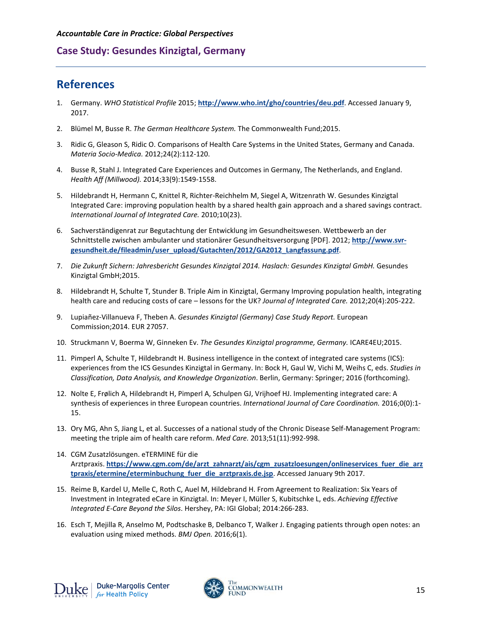# **References**

- 1. Germany. *WHO Statistical Profile* 2015; **<http://www.who.int/gho/countries/deu.pdf>**. Accessed January 9, 2017.
- 2. Blümel M, Busse R. *The German Healthcare System.* The Commonwealth Fund;2015.
- 3. Ridic G, Gleason S, Ridic O. Comparisons of Health Care Systems in the United States, Germany and Canada. *Materia Socio-Medica.* 2012;24(2):112-120.
- 4. Busse R, Stahl J. Integrated Care Experiences and Outcomes in Germany, The Netherlands, and England. *Health Aff (Millwood).* 2014;33(9):1549-1558.
- 5. Hildebrandt H, Hermann C, Knittel R, Richter-Reichhelm M, Siegel A, Witzenrath W. Gesundes Kinzigtal Integrated Care: improving population health by a shared health gain approach and a shared savings contract. *International Journal of Integrated Care.* 2010;10(23).
- 6. Sachverständigenrat zur Begutachtung der Entwicklung im Gesundheitswesen. Wettbewerb an der Schnittstelle zwischen ambulanter und stationärer Gesundheitsversorgung [PDF]. 2012; **[http://www.svr](http://www.svr-gesundheit.de/fileadmin/user_upload/Gutachten/2012/GA2012_Langfassung.pdf)[gesundheit.de/fileadmin/user\\_upload/Gutachten/2012/GA2012\\_Langfassung.pdf](http://www.svr-gesundheit.de/fileadmin/user_upload/Gutachten/2012/GA2012_Langfassung.pdf)**.
- 7. *Die Zukunft Sichern: Jahresbericht Gesundes Kinzigtal 2014. Haslach: Gesundes Kinzigtal GmbH.* Gesundes Kinzigtal GmbH;2015.
- 8. Hildebrandt H, Schulte T, Stunder B. Triple Aim in Kinzigtal, Germany Improving population health, integrating health care and reducing costs of care – lessons for the UK? *Journal of Integrated Care.* 2012;20(4):205-222.
- 9. Lupiañez-Villanueva F, Theben A. *Gesundes Kinzigtal (Germany) Case Study Report.* European Commission;2014. EUR 27057.
- 10. Struckmann V, Boerma W, Ginneken Ev. *The Gesundes Kinzigtal programme, Germany.* ICARE4EU;2015.
- 11. Pimperl A, Schulte T, Hildebrandt H. Business intelligence in the context of integrated care systems (ICS): experiences from the ICS Gesundes Kinzigtal in Germany. In: Bock H, Gaul W, Vichi M, Weihs C, eds. *Studies in Classification, Data Analysis, and Knowledge Organization*. Berlin, Germany: Springer; 2016 (forthcoming).
- 12. Nolte E, Frølich A, Hildebrandt H, Pimperl A, Schulpen GJ, Vrijhoef HJ. Implementing integrated care: A synthesis of experiences in three European countries. *International Journal of Care Coordination.* 2016;0(0):1- 15.
- 13. Ory MG, Ahn S, Jiang L, et al. Successes of a national study of the Chronic Disease Self-Management Program: meeting the triple aim of health care reform. *Med Care.* 2013;51(11):992-998.
- 14. CGM Zusatzlösungen. eTERMINE für die Arztpraxis. **[https://www.cgm.com/de/arzt\\_zahnarzt/ais/cgm\\_zusatzloesungen/onlineservices\\_fuer\\_die\\_arz](https://www.cgm.com/de/arzt_zahnarzt/ais/cgm_zusatzloesungen/onlineservices_fuer_die_arztpraxis/etermine/eterminbuchung_fuer_die_arztpraxis.de.jsp) [tpraxis/etermine/eterminbuchung\\_fuer\\_die\\_arztpraxis.de.jsp](https://www.cgm.com/de/arzt_zahnarzt/ais/cgm_zusatzloesungen/onlineservices_fuer_die_arztpraxis/etermine/eterminbuchung_fuer_die_arztpraxis.de.jsp)**. Accessed January 9th 2017.
- 15. Reime B, Kardel U, Melle C, Roth C, Auel M, Hildebrand H. From Agreement to Realization: Six Years of Investment in Integrated eCare in Kinzigtal. In: Meyer I, Müller S, Kubitschke L, eds. *Achieving Effective Integrated E-Care Beyond the Silos*. Hershey, PA: IGI Global; 2014:266-283.
- 16. Esch T, Mejilla R, Anselmo M, Podtschaske B, Delbanco T, Walker J. Engaging patients through open notes: an evaluation using mixed methods. *BMJ Open.* 2016;6(1).